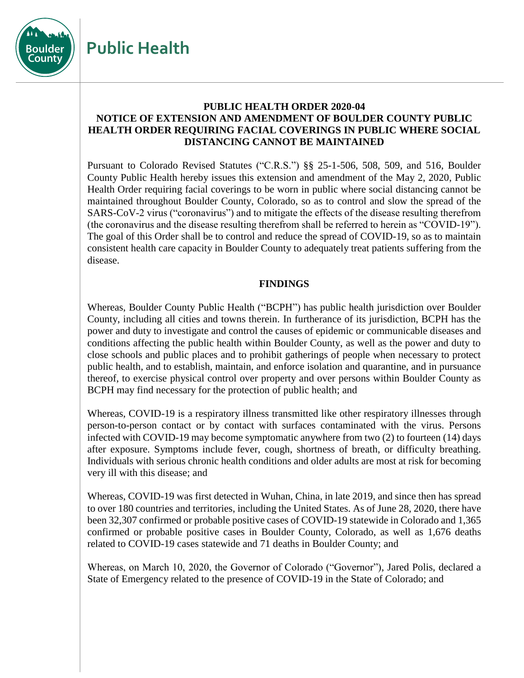**Public Health**



## **PUBLIC HEALTH ORDER 2020-04 NOTICE OF EXTENSION AND AMENDMENT OF BOULDER COUNTY PUBLIC HEALTH ORDER REQUIRING FACIAL COVERINGS IN PUBLIC WHERE SOCIAL DISTANCING CANNOT BE MAINTAINED**

Pursuant to Colorado Revised Statutes ("C.R.S.") §§ 25-1-506, 508, 509, and 516, Boulder County Public Health hereby issues this extension and amendment of the May 2, 2020, Public Health Order requiring facial coverings to be worn in public where social distancing cannot be maintained throughout Boulder County, Colorado, so as to control and slow the spread of the SARS-CoV-2 virus ("coronavirus") and to mitigate the effects of the disease resulting therefrom (the coronavirus and the disease resulting therefrom shall be referred to herein as "COVID-19"). The goal of this Order shall be to control and reduce the spread of COVID-19, so as to maintain consistent health care capacity in Boulder County to adequately treat patients suffering from the disease.

## **FINDINGS**

Whereas, Boulder County Public Health ("BCPH") has public health jurisdiction over Boulder County, including all cities and towns therein. In furtherance of its jurisdiction, BCPH has the power and duty to investigate and control the causes of epidemic or communicable diseases and conditions affecting the public health within Boulder County, as well as the power and duty to close schools and public places and to prohibit gatherings of people when necessary to protect public health, and to establish, maintain, and enforce isolation and quarantine, and in pursuance thereof, to exercise physical control over property and over persons within Boulder County as BCPH may find necessary for the protection of public health; and

Whereas, COVID-19 is a respiratory illness transmitted like other respiratory illnesses through person-to-person contact or by contact with surfaces contaminated with the virus. Persons infected with COVID-19 may become symptomatic anywhere from two (2) to fourteen (14) days after exposure. Symptoms include fever, cough, shortness of breath, or difficulty breathing. Individuals with serious chronic health conditions and older adults are most at risk for becoming very ill with this disease; and

Whereas, COVID-19 was first detected in Wuhan, China, in late 2019, and since then has spread to over 180 countries and territories, including the United States. As of June 28, 2020, there have been 32,307 confirmed or probable positive cases of COVID-19 statewide in Colorado and 1,365 confirmed or probable positive cases in Boulder County, Colorado, as well as 1,676 deaths related to COVID-19 cases statewide and 71 deaths in Boulder County; and

Whereas, on March 10, 2020, the Governor of Colorado ("Governor"), Jared Polis, declared a State of Emergency related to the presence of COVID-19 in the State of Colorado; and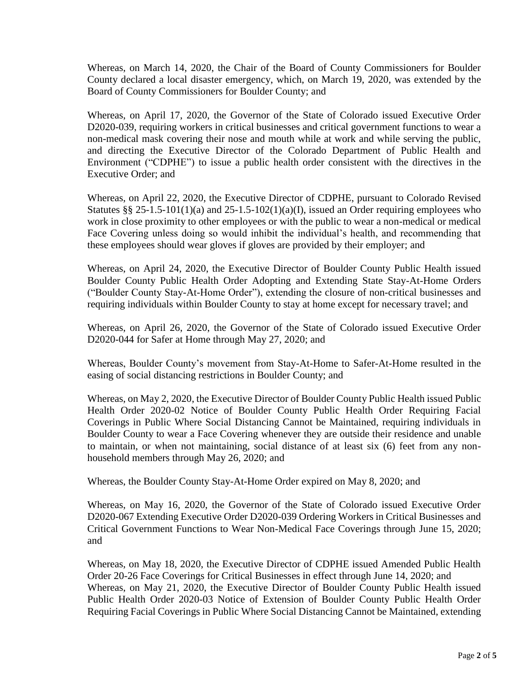Whereas, on March 14, 2020, the Chair of the Board of County Commissioners for Boulder County declared a local disaster emergency, which, on March 19, 2020, was extended by the Board of County Commissioners for Boulder County; and

Whereas, on April 17, 2020, the Governor of the State of Colorado issued Executive Order D2020-039, requiring workers in critical businesses and critical government functions to wear a non-medical mask covering their nose and mouth while at work and while serving the public, and directing the Executive Director of the Colorado Department of Public Health and Environment ("CDPHE") to issue a public health order consistent with the directives in the Executive Order; and

Whereas, on April 22, 2020, the Executive Director of CDPHE, pursuant to Colorado Revised Statutes §§ 25-1.5-101(1)(a) and 25-1.5-102(1)(a)(I), issued an Order requiring employees who work in close proximity to other employees or with the public to wear a non-medical or medical Face Covering unless doing so would inhibit the individual's health, and recommending that these employees should wear gloves if gloves are provided by their employer; and

Whereas, on April 24, 2020, the Executive Director of Boulder County Public Health issued Boulder County Public Health Order Adopting and Extending State Stay-At-Home Orders ("Boulder County Stay-At-Home Order"), extending the closure of non-critical businesses and requiring individuals within Boulder County to stay at home except for necessary travel; and

Whereas, on April 26, 2020, the Governor of the State of Colorado issued Executive Order D2020-044 for Safer at Home through May 27, 2020; and

Whereas, Boulder County's movement from Stay-At-Home to Safer-At-Home resulted in the easing of social distancing restrictions in Boulder County; and

Whereas, on May 2, 2020, the Executive Director of Boulder County Public Health issued Public Health Order 2020-02 Notice of Boulder County Public Health Order Requiring Facial Coverings in Public Where Social Distancing Cannot be Maintained, requiring individuals in Boulder County to wear a Face Covering whenever they are outside their residence and unable to maintain, or when not maintaining, social distance of at least six (6) feet from any nonhousehold members through May 26, 2020; and

Whereas, the Boulder County Stay-At-Home Order expired on May 8, 2020; and

Whereas, on May 16, 2020, the Governor of the State of Colorado issued Executive Order D2020-067 Extending Executive Order D2020-039 Ordering Workers in Critical Businesses and Critical Government Functions to Wear Non-Medical Face Coverings through June 15, 2020; and

Whereas, on May 18, 2020, the Executive Director of CDPHE issued Amended Public Health Order 20-26 Face Coverings for Critical Businesses in effect through June 14, 2020; and Whereas, on May 21, 2020, the Executive Director of Boulder County Public Health issued Public Health Order 2020-03 Notice of Extension of Boulder County Public Health Order Requiring Facial Coverings in Public Where Social Distancing Cannot be Maintained, extending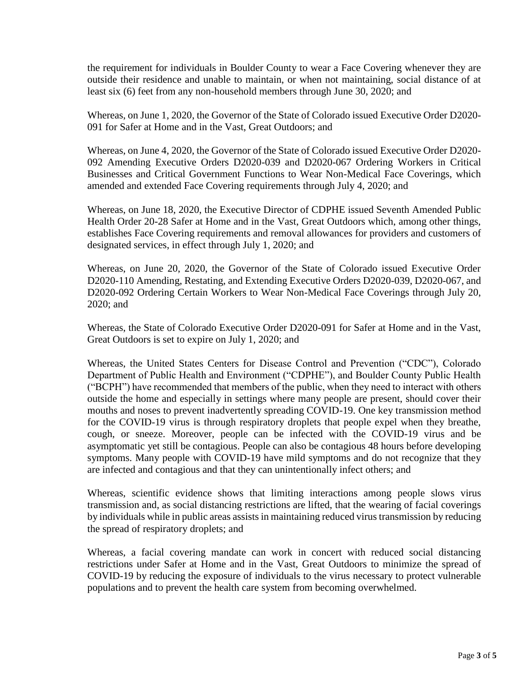the requirement for individuals in Boulder County to wear a Face Covering whenever they are outside their residence and unable to maintain, or when not maintaining, social distance of at least six (6) feet from any non-household members through June 30, 2020; and

Whereas, on June 1, 2020, the Governor of the State of Colorado issued Executive Order D2020- 091 for Safer at Home and in the Vast, Great Outdoors; and

Whereas, on June 4, 2020, the Governor of the State of Colorado issued Executive Order D2020- 092 Amending Executive Orders D2020-039 and D2020-067 Ordering Workers in Critical Businesses and Critical Government Functions to Wear Non-Medical Face Coverings, which amended and extended Face Covering requirements through July 4, 2020; and

Whereas, on June 18, 2020, the Executive Director of CDPHE issued Seventh Amended Public Health Order 20-28 Safer at Home and in the Vast, Great Outdoors which, among other things, establishes Face Covering requirements and removal allowances for providers and customers of designated services, in effect through July 1, 2020; and

Whereas, on June 20, 2020, the Governor of the State of Colorado issued Executive Order D2020-110 Amending, Restating, and Extending Executive Orders D2020-039, D2020-067, and D2020-092 Ordering Certain Workers to Wear Non-Medical Face Coverings through July 20, 2020; and

Whereas, the State of Colorado Executive Order D2020-091 for Safer at Home and in the Vast, Great Outdoors is set to expire on July 1, 2020; and

Whereas, the United States Centers for Disease Control and Prevention ("CDC"), Colorado Department of Public Health and Environment ("CDPHE"), and Boulder County Public Health ("BCPH") have recommended that members of the public, when they need to interact with others outside the home and especially in settings where many people are present, should cover their mouths and noses to prevent inadvertently spreading COVID-19. One key transmission method for the COVID-19 virus is through respiratory droplets that people expel when they breathe, cough, or sneeze. Moreover, people can be infected with the COVID-19 virus and be asymptomatic yet still be contagious. People can also be contagious 48 hours before developing symptoms. Many people with COVID-19 have mild symptoms and do not recognize that they are infected and contagious and that they can unintentionally infect others; and

Whereas, scientific evidence shows that limiting interactions among people slows virus transmission and, as social distancing restrictions are lifted, that the wearing of facial coverings by individuals while in public areas assists in maintaining reduced virus transmission by reducing the spread of respiratory droplets; and

Whereas, a facial covering mandate can work in concert with reduced social distancing restrictions under Safer at Home and in the Vast, Great Outdoors to minimize the spread of COVID-19 by reducing the exposure of individuals to the virus necessary to protect vulnerable populations and to prevent the health care system from becoming overwhelmed.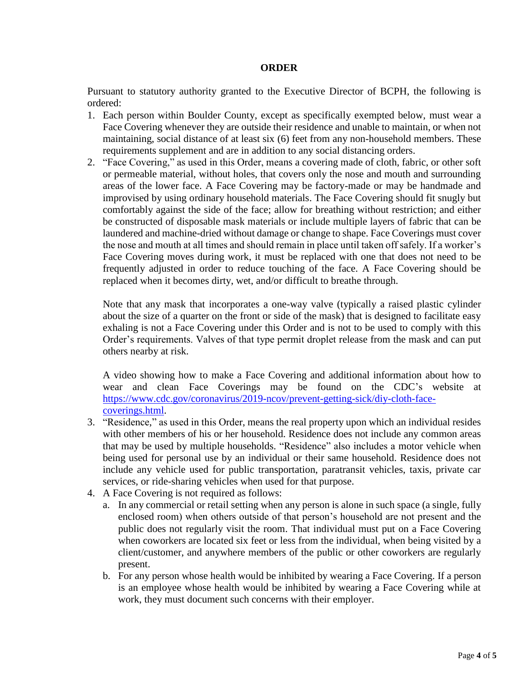## **ORDER**

Pursuant to statutory authority granted to the Executive Director of BCPH, the following is ordered:

- 1. Each person within Boulder County, except as specifically exempted below, must wear a Face Covering whenever they are outside their residence and unable to maintain, or when not maintaining, social distance of at least six (6) feet from any non-household members. These requirements supplement and are in addition to any social distancing orders.
- 2. "Face Covering," as used in this Order, means a covering made of cloth, fabric, or other soft or permeable material, without holes, that covers only the nose and mouth and surrounding areas of the lower face. A Face Covering may be factory-made or may be handmade and improvised by using ordinary household materials. The Face Covering should fit snugly but comfortably against the side of the face; allow for breathing without restriction; and either be constructed of disposable mask materials or include multiple layers of fabric that can be laundered and machine-dried without damage or change to shape. Face Coverings must cover the nose and mouth at all times and should remain in place until taken off safely. If a worker's Face Covering moves during work, it must be replaced with one that does not need to be frequently adjusted in order to reduce touching of the face. A Face Covering should be replaced when it becomes dirty, wet, and/or difficult to breathe through.

Note that any mask that incorporates a one-way valve (typically a raised plastic cylinder about the size of a quarter on the front or side of the mask) that is designed to facilitate easy exhaling is not a Face Covering under this Order and is not to be used to comply with this Order's requirements. Valves of that type permit droplet release from the mask and can put others nearby at risk.

A video showing how to make a Face Covering and additional information about how to wear and clean Face Coverings may be found on the CDC's website at [https://www.cdc.gov/coronavirus/2019-ncov/prevent-getting-sick/diy-cloth-face](https://www.cdc.gov/coronavirus/2019-ncov/prevent-getting-sick/diy-cloth-face-coverings.html)[coverings.html.](https://www.cdc.gov/coronavirus/2019-ncov/prevent-getting-sick/diy-cloth-face-coverings.html)

- 3. "Residence," as used in this Order, means the real property upon which an individual resides with other members of his or her household. Residence does not include any common areas that may be used by multiple households. "Residence" also includes a motor vehicle when being used for personal use by an individual or their same household. Residence does not include any vehicle used for public transportation, paratransit vehicles, taxis, private car services, or ride-sharing vehicles when used for that purpose.
- 4. A Face Covering is not required as follows:
	- a. In any commercial or retail setting when any person is alone in such space (a single, fully enclosed room) when others outside of that person's household are not present and the public does not regularly visit the room. That individual must put on a Face Covering when coworkers are located six feet or less from the individual, when being visited by a client/customer, and anywhere members of the public or other coworkers are regularly present.
	- b. For any person whose health would be inhibited by wearing a Face Covering. If a person is an employee whose health would be inhibited by wearing a Face Covering while at work, they must document such concerns with their employer.